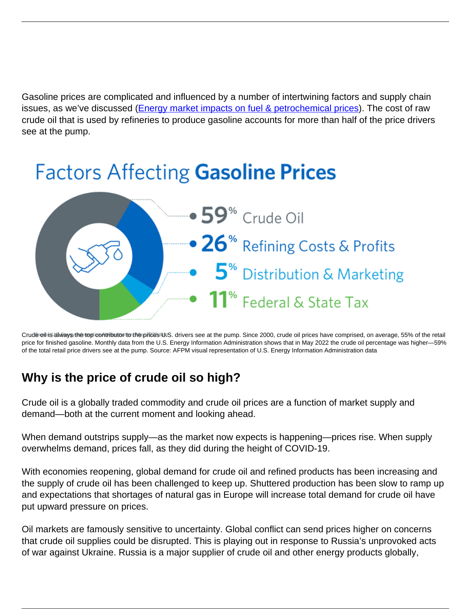Gasoline prices are complicated and influenced by a number of intertwining factors and supply chain issues, as we've discussed ([Energy market impacts on fuel & petrochemical prices](https://www.afpm.org/newsroom/blog/energy-market-impacts-fuel-and-petrochemical-prices)). The cost of raw crude oil that is used by refineries to produce gasoline accounts for more than half of the price drivers see at the pump.

# **Factors Affecting Gasoline Prices**



Crude oil is always the top contributor to the prices U.S. drivers see at the pump. Since 2000, crude oil prices have comprised, on average, 55% of the retail price for finished gasoline. Monthly data from the U.S. Energy Information Administration shows that in May 2022 the crude oil percentage was higher—59% of the total retail price drivers see at the pump. Source: AFPM visual representation of U.S. Energy Information Administration data

### **Why is the price of crude oil so high?**

Crude oil is a globally traded commodity and crude oil prices are a function of market supply and demand—both at the current moment and looking ahead.

When demand outstrips supply—as the market now expects is happening—prices rise. When supply overwhelms demand, prices fall, as they did during the height of COVID-19.

With economies reopening, global demand for crude oil and refined products has been increasing and the supply of crude oil has been challenged to keep up. Shuttered production has been slow to ramp up and expectations that shortages of natural gas in Europe will increase total demand for crude oil have put upward pressure on prices.

Oil markets are famously sensitive to uncertainty. Global conflict can send prices higher on concerns that crude oil supplies could be disrupted. This is playing out in response to Russia's unprovoked acts of war against Ukraine. Russia is a major supplier of crude oil and other energy products globally,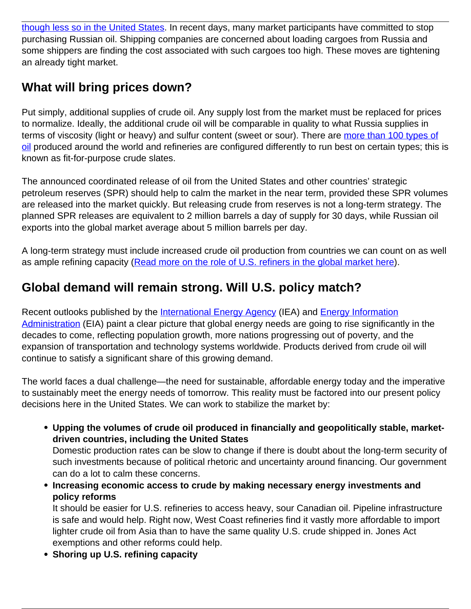[though less so in the United States.](https://www.afpm.org/newsroom/blog/oil-and-petroleum-imports-russia-explained) In recent days, many market participants have committed to stop purchasing Russian oil. Shipping companies are concerned about loading cargoes from Russia and some shippers are finding the cost associated with such cargoes too high. These moves are tightening an already tight market.

# **What will bring prices down?**

Put simply, additional supplies of crude oil. Any supply lost from the market must be replaced for prices to normalize. Ideally, the additional crude oil will be comparable in quality to what Russia supplies in terms of viscosity (light or heavy) and sulfur content (sweet or sour). There are [more than 100 types of](https://www.spglobal.com/commodity-insights/en/market-insights/latest-news/oil/090419-platts-periodic-table-of-oil) [oil](https://www.spglobal.com/commodity-insights/en/market-insights/latest-news/oil/090419-platts-periodic-table-of-oil) produced around the world and refineries are configured differently to run best on certain types; this is known as fit-for-purpose crude slates.

The announced coordinated release of oil from the United States and other countries' strategic petroleum reserves (SPR) should help to calm the market in the near term, provided these SPR volumes are released into the market quickly. But releasing crude from reserves is not a long-term strategy. The planned SPR releases are equivalent to 2 million barrels a day of supply for 30 days, while Russian oil exports into the global market average about 5 million barrels per day.

A long-term strategy must include increased crude oil production from countries we can count on as well as ample refining capacity [\(Read more on the role of U.S. refiners in the global market here\)](https://www.afpm.org/newsroom/blog/role-us-refiners-global-market).

# **Global demand will remain strong. Will U.S. policy match?**

Recent outlooks published by the [International Energy Agency](https://www.iea.org/reports/world-energy-outlook-2021) (IEA) and [Energy Information](https://www.eia.gov/outlooks/ieo/) [Administration](https://www.eia.gov/outlooks/ieo/) (EIA) paint a clear picture that global energy needs are going to rise significantly in the decades to come, reflecting population growth, more nations progressing out of poverty, and the expansion of transportation and technology systems worldwide. Products derived from crude oil will continue to satisfy a significant share of this growing demand.

The world faces a dual challenge—the need for sustainable, affordable energy today and the imperative to sustainably meet the energy needs of tomorrow. This reality must be factored into our present policy decisions here in the United States. We can work to stabilize the market by:

**Upping the volumes of crude oil produced in financially and geopolitically stable, marketdriven countries, including the United States**

Domestic production rates can be slow to change if there is doubt about the long-term security of such investments because of political rhetoric and uncertainty around financing. Our government can do a lot to calm these concerns.

**Increasing economic access to crude by making necessary energy investments and policy reforms**

It should be easier for U.S. refineries to access heavy, sour Canadian oil. Pipeline infrastructure is safe and would help. Right now, West Coast refineries find it vastly more affordable to import lighter crude oil from Asia than to have the same quality U.S. crude shipped in. Jones Act exemptions and other reforms could help.

**Shoring up U.S. refining capacity**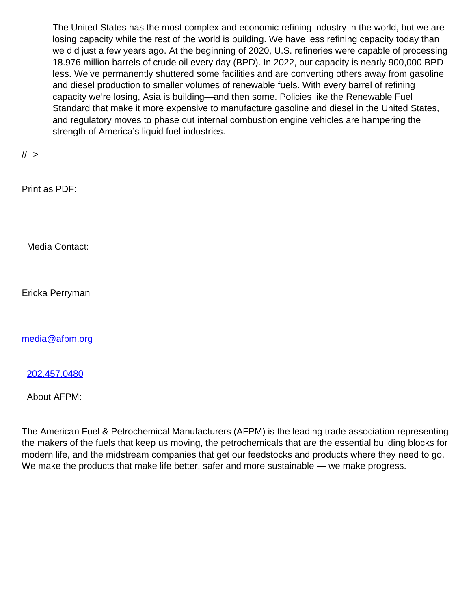The United States has the most complex and economic refining industry in the world, but we are losing capacity while the rest of the world is building. We have less refining capacity today than we did just a few years ago. At the beginning of 2020, U.S. refineries were capable of processing 18.976 million barrels of crude oil every day (BPD). In 2022, our capacity is nearly 900,000 BPD less. We've permanently shuttered some facilities and are converting others away from gasoline and diesel production to smaller volumes of renewable fuels. With every barrel of refining capacity we're losing, Asia is building—and then some. Policies like the Renewable Fuel Standard that make it more expensive to manufacture gasoline and diesel in the United States, and regulatory moves to phase out internal combustion engine vehicles are hampering the strength of America's liquid fuel industries.

//-->

Print as PDF:

Media Contact:

Ericka Perryman

[media@afpm.org](mailto:media@afpm.org)

[202.457.0480](tel:202.457.0480)

About AFPM:

The American Fuel & Petrochemical Manufacturers (AFPM) is the leading trade association representing the makers of the fuels that keep us moving, the petrochemicals that are the essential building blocks for modern life, and the midstream companies that get our feedstocks and products where they need to go. We make the products that make life better, safer and more sustainable — we make progress.